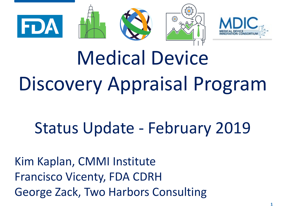



### Discovery Annraisal Program  $\mathbf{y}$  , we present the Medical Device Discovery Appraisal Program

# Status Update - February 2019

Kim Kaplan, CMMI Institute Francisco Vicenty, FDA CDRH George Zack, Two Harbors Consulting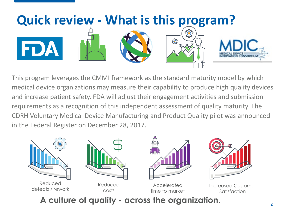

This program leverages the CMMI framework as the standard maturity model by which medical device organizations may measure their capability to produce high quality devices and increase patient safety. FDA will adjust their engagement activities and submission requirements as a recognition of this independent assessment of quality maturity. The CDRH Voluntary Medical Device Manufacturing and Product Quality pilot was announced in the Federal Register on December 28, 2017.



**A culture of quality - across the organization.**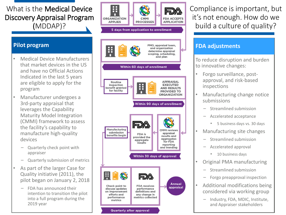### What is the Medical Device Discovery Appraisal Program (MDDAP)?

### **Pilot program**

- Medical Device Manufacturers that market devices in the US and have no Official Actions Indicated in the last 5 years are eligible to apply for the program
- Manufacturer undergoes a 3rd -party appraisal that leverages the Capability Maturity Model Integration (CMMI) framework to assess the facility's capability to manufacture high -quality devices
	- Quarterly check point with appraiser
	- Quarterly submission of metrics
- As part of the larger Case for Quality initiative (2011), the pilot began on January 2, 2018
	- FDA has announced their intention to transition the pilot into a full program during the 2019 year



Ŧ

Compliance is important, but it's not enough. How do we build a culture of quality?

#### **FDA adjustments**

To reduce disruption and burden to innovative changes:

- Forgo surveillance, post approval, and risk -based inspections
- Manufacturing change notice submissions
	- Streamlined submission
	- Accelerated acceptance
		- 5 business days vs. 30 days
- Manufacturing site changes
	- Streamlined submission
	- Accelerated approval
		- 10 business days
- Original PMA manufacturing
	- Streamlined submission
	- Forgo preapproval inspection
- Additional modifications being considered via working group
	- Industry, FDA, MDIC, Institute, and Appraiser stakeholders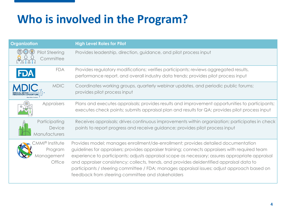### **Who is involved in the Program?**

| <b>Organization</b>                                       | <b>High Level Roles for Pilot</b>                                                                                                                                                                                                                                                                                                                                                                                                                                                                                                      |
|-----------------------------------------------------------|----------------------------------------------------------------------------------------------------------------------------------------------------------------------------------------------------------------------------------------------------------------------------------------------------------------------------------------------------------------------------------------------------------------------------------------------------------------------------------------------------------------------------------------|
| <b>Pilot Steering</b><br>Committee                        | Provides leadership, direction, guidance, and pilot process input                                                                                                                                                                                                                                                                                                                                                                                                                                                                      |
| <b>FDA</b>                                                | Provides regulatory modifications; verifies participants; reviews aggregated results,<br>performance report, and overall industry data trends; provides pilot process input                                                                                                                                                                                                                                                                                                                                                            |
| <b>MDIC</b>                                               | Coordinates working groups, quarterly webinar updates, and periodic public forums;<br>provides pilot process input                                                                                                                                                                                                                                                                                                                                                                                                                     |
| Appraisers                                                | Plans and executes appraisals; provides results and improvement opportunities to participants;<br>executes check points; submits appraisal plan and results for QA; provides pilot process input                                                                                                                                                                                                                                                                                                                                       |
| Participating<br>Device<br>Manufacturers                  | Receives appraisals; drives continuous improvements within organization; participates in check<br>points to report progress and receive guidance; provides pilot process input                                                                                                                                                                                                                                                                                                                                                         |
| <b>:MMI®</b> Institute<br>Program<br>Management<br>Office | Provides model; manages enrollment/de-enrollment; provides detailed documentation<br>guidelines for appraisers; provides appraiser training; connects appraisers with required team<br>experience to participants; adjusts appraisal scope as necessary; assures appropriate appraisal<br>and appraiser consistency; collects, trends, and provides deidentified appraisal data to<br>participants / steering committee / FDA; manages appraisal issues; adjust approach based on<br>feedback from steering committee and stakeholders |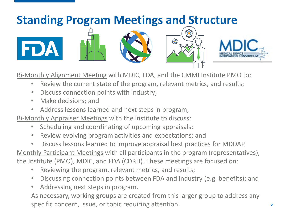# **Standing Program Meetings and Structure** ΣΟ **इलैं**द्रे FDA

Bi-Monthly Alignment Meeting with MDIC, FDA, and the CMMI Institute PMO to:

- Review the current state of the program, relevant metrics, and results;
- Discuss connection points with industry;
- Make decisions; and
- Address lessons learned and next steps in program;
- Bi-Monthly Appraiser Meetings with the Institute to discuss:
	- Scheduling and coordinating of upcoming appraisals;
	- Review evolving program activities and expectations; and
	- Discuss lessons learned to improve appraisal best practices for MDDAP.
- Monthly Participant Meetings with all participants in the program (representatives), the Institute (PMO), MDIC, and FDA (CDRH). These meetings are focused on:
	- Reviewing the program, relevant metrics, and results;
	- Discussing connection points between FDA and industry (e.g. benefits); and
	- Addressing next steps in program.

As necessary, working groups are created from this larger group to address any specific concern, issue, or topic requiring attention.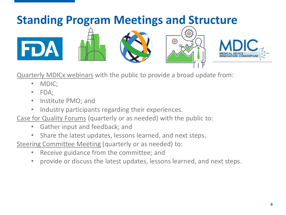

Quarterly MDICx webinars with the public to provide a broad update from:

- MDIC;
- FDA;
- Institute PMO; and
- Industry participants regarding their experiences.
- Case for Quality Forums (quarterly or as needed) with the public to:
	- Gather input and feedback; and
	- Share the latest updates, lessons learned, and next steps.
- Steering Committee Meeting (quarterly or as needed) to:
	- Receive guidance from the committee; and
	- provide or discuss the latest updates, lessons learned, and next steps.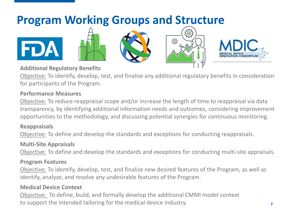## **Program Working Groups and Structure**



Objective: To identify, develop, test, and finalize any additional regulatory benefits in consideration for participants of the Program.

**503** 

#### **Performance Measures**

Objective: To reduce reappraisal scope and/or increase the length of time to reappraisal via data transparency, by identifying additional information needs and outcomes, considering improvement opportunities to the methodology, and discussing potential synergies for continuous monitoring.

### **Reappraisals**

FDA

Objective: To define and develop the standards and exceptions for conducting reappraisals.

### **Multi-Site Appraisals**

Objective: To define and develop the standards and exceptions for conducting multi-site appraisals.

### **Program Features**

Objective: To identify, develop, test, and finalize new desired features of the Program, as well as identify, analyze, and resolve any undesirable features of the Program.

### **Medical Device Context**

Objective: To define, build, and formally develop the additional CMMI model context to support the intended tailoring for the medical device industry.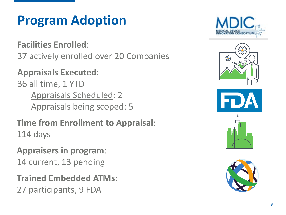# **Program Adoption**

**Facilities Enrolled**: 37 actively enrolled over 20 Companies

**Appraisals Executed**: 36 all time, 1 YTD Appraisals Scheduled: 2 Appraisals being scoped: 5

**Time from Enrollment to Appraisal**: 114 days

**Appraisers in program**: 14 current, 13 pending

**Trained Embedded ATMs**: 27 participants, 9 FDA



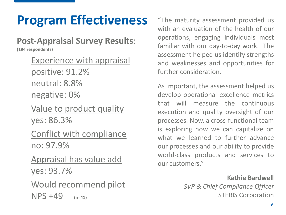# **Program Effectiveness** "The maturity assessment provided us

### **Post-Appraisal Survey Results**:

**(194 respondents)** 

- Experience with appraisal positive: 91.2% neutral: 8.8% negative: 0%
- Value to product quality yes: 86.3%
- Conflict with compliance no: 97.9%
- Appraisal has value add yes: 93.7%
- Would recommend pilot NPS +49 **(n=41)**

with an evaluation of the health of our operations, engaging individuals most familiar with our day-to-day work. The assessment helped us identify strengths and weaknesses and opportunities for further consideration.

As important, the assessment helped us develop operational excellence metrics that will measure the continuous execution and quality oversight of our processes. Now, a cross-functional team is exploring how we can capitalize on what we learned to further advance our processes and our ability to provide world-class products and services to our customers."

> **Kathie Bardwell** *SVP & Chief Compliance Officer* STERIS Corporation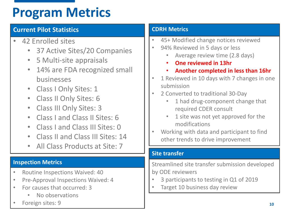# **Program Metrics**

### **Current Pilot Statistics**

- 42 Enrolled sites
	- 37 Active Sites/20 Companies
	- 5 Multi-site appraisals
	- 14% are FDA recognized small businesses
	- Class I Only Sites: 1
	- Class II Only Sites: 6
	- Class III Only Sites: 3
	- Class I and Class II Sites: 6
	- Class I and Class III Sites: 0
	- Class II and Class III Sites: 14
	- All Class Products at Site: 7

- Routine Inspections Waived: 40
- Pre-Approval Inspections Waived: 4
- For causes that occurred: 3
	- No observations
- Foreign sites: 9

### **CDRH Metrics**

- 45+ Modified change notices reviewed
- 94% Reviewed in 5 days or less
	- Average review time (2.8 days)
	- **One reviewed in 13hr**
	- **Another completed in less than 16hr**
- 1 Reviewed in 10 days with 7 changes in one submission
- 2 Converted to traditional 30-Day
	- 1 had drug-component change that required CDER consult
	- 1 site was not yet approved for the modifications
- Working with data and participant to find other trends to drive improvement

### **Site transfer**

**Inspection Metrics** Streamlined site transfer submission developed by ODE reviewers

- 3 participants to testing in Q1 of 2019
- Target 10 business day review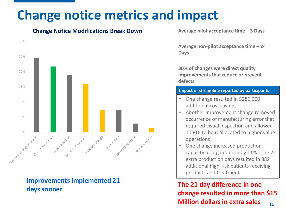# **Change notice metrics and impact**

**Change Notice Modifications Break Down**



**Improvements implemented 21 days sooner**

**Average pilot acceptance time – 3 Days**

**Average non-pilot acceptance time – 24 Days**

**30% of changes were direct quality improvements that reduce or prevent defects** 

#### **Impact of streamline reported by participants**

- One change resulted in \$286,000 additional cost savings
- Another improvement change removed occurrence of manufacturing error that required visual inspection and allowed 10 FTE to be reallocated to higher value operations
- One change increased production capacity at organization by 11%. The 21 extra production days resulted in 882 additional high-risk patients receiving products and treatment.

**11 The 21 day difference in one change resulted in more than \$15 Million dollars in extra sales**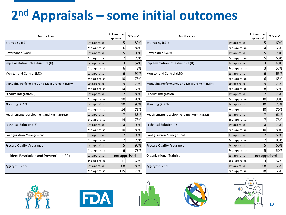# **2nd Appraisals – some initial outcomes**

| <b>Practice Area</b>                       |               | # of practices<br>appraised | % "score" | <b>Practice Area</b>                       |               | # of practices<br>appraised | % "score" |
|--------------------------------------------|---------------|-----------------------------|-----------|--------------------------------------------|---------------|-----------------------------|-----------|
| Estimating (EST)                           | 1st appraisal | 5                           | 80%       | <b>Estimating (EST)</b>                    | 1st appraisal | 5                           | 60%       |
|                                            | 2nd appraisal | $6 \mid$                    | 82%       |                                            | 2nd appraisal | 4                           | 65%       |
| Governance (GOV)                           | 1st appraisal | 5                           | 90%       | Governance (GOV)                           | 1st appraisal | 5                           | 70%       |
|                                            | 2nd appraisal | 7                           | 76%       |                                            | 2nd appraisal | 5 <sup>1</sup>              | 60%       |
| Implementation Infrastructure (II)         | 1st appraisal | 3                           | 57%       | Implementation Infrastructure (II)         | 1st appraisal | $\overline{3}$              | 40%       |
|                                            | 2nd appraisal | $6 \mid$                    | 48%       |                                            | 2nd appraisal | $\overline{3}$              | 57%       |
| Monitor and Control (MC)                   | 1st appraisal | 6                           | 90%       | Monitor and Control (MC)                   | 1st appraisal | 6                           | 65%       |
|                                            | 2nd appraisal | 10                          | 75%       |                                            | 2nd appraisal | $6 \mid$                    | 65%       |
| Managing Performance and Measurement (MPM) | 1st appraisal | 9                           | 79%       | Managing Performance and Measurement (MPM) | 1st appraisal | 9                           | 73%       |
|                                            | 2nd appraisal | 14                          | 66%       |                                            | 2nd appraisal | 8                           | 59%       |
| Product Integration (PI)                   | 1st appraisal | 7                           | 83%       | Product Integration (PI)                   | 1st appraisal | 7                           | 76%       |
|                                            | 2nd appraisal | 10                          | 85%       |                                            | 2nd appraisal | 10                          | 90%       |
| Planning (PLAN)                            | 1st appraisal | 10                          | 90%       | Planning (PLAN)                            | 1st appraisal | 10                          | 75%       |
|                                            | 2nd appraisal | 14                          | 76%       |                                            | 2nd appraisal | 10                          | 70%       |
| Requirements Development and Mgmt (RDM)    | 1st appraisal | $\overline{7}$              | 83%       | Requirements Development and Mgmt (RDM)    | 1st appraisal | 7                           | 61%       |
|                                            | 2nd appraisal | 14                          | 73%       |                                            | 2nd appraisal | 7 <sup>1</sup>              | 76%       |
| <b>Technical Solution (TS)</b>             | 1st appraisal | 4                           | 90%       | Technical Solution (TS)                    | 1st appraisal | $\overline{4}$              | 78%       |
|                                            | 2nd appraisal | 10                          | 85%       |                                            | 2nd appraisal | 10                          | 80%       |
| Configuration Management                   | 1st appraisal | 7                           | 90%       | Configuration Management                   | 1st appraisal | 7                           | 69%       |
|                                            | 2nd appraisal | 7 <sup>1</sup>              | 76%       |                                            | 2nd appraisal | 7 <sup>1</sup>              | 83%       |
| <b>Process Quality Assurance</b>           | 1st appraisal | 5                           | 90%       | <b>Process Quality Assurance</b>           | 1st appraisal | 5                           | 60%       |
|                                            | 2nd appraisal | $6 \mid$                    | 73%       |                                            | 2nd appraisal | 5 <sup>1</sup>              | 50%       |
| Incident Resolution and Prevention (IRP)   | 1st appraisal | not appraised               |           | Organizational Training                    | 1st appraisal | not appraised               |           |
|                                            | 2nd appraisal | 11                          | 63%       |                                            | 2nd appraisal | 3                           | 57%       |
| Aggregate Score                            | 1st appraisal | 68                          | 83%       | Aggregate Score                            | 1st appraisal | 68                          | 66%       |
|                                            | 2nd appraisal | 115                         | 73%       |                                            | 2nd appraisal | 78                          | 66%       |
|                                            |               |                             |           |                                            |               |                             |           |









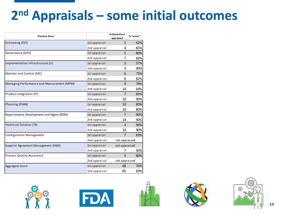# **2nd Appraisals – some initial outcomes**

| <b>Practice Area</b>                       |               | # of practices<br>appraised | % "score" |  |
|--------------------------------------------|---------------|-----------------------------|-----------|--|
| Estimating (EST)                           | 1st appraisal | 5                           | 62%       |  |
|                                            | 2nd appraisal | 4                           | 65%       |  |
| Governance (GOV)                           | 1st appraisal | 5                           | 80%       |  |
|                                            | 2nd appraisal | 7                           | 83%       |  |
| Implementation Infrastructure (II)         | 1st appraisal | 3                           | 57%       |  |
|                                            | 2nd appraisal | 3                           | 90%       |  |
| Monitor and Control (MC)                   | 1st appraisal | 6                           | 73%       |  |
|                                            | 2nd appraisal | 6                           | 82%       |  |
| Managing Performance and Measurement (MPM) | 1st appraisal | 9                           | 79%       |  |
|                                            | 2nd appraisal | 14                          | 69%       |  |
| Product Integration (PI)                   | 1st appraisal | 7                           | 83%       |  |
|                                            | 2nd appraisal | 10                          | 90%       |  |
| Planning (PLAN)                            | 1st appraisal | 10                          | 80%       |  |
|                                            | 2nd appraisal | 10                          | 80%       |  |
| Requirements Development and Mgmt (RDM)    | 1st appraisal | 7                           | 90%       |  |
|                                            | 2nd appraisal | 14                          | 90%       |  |
| <b>Technical Solution (TS)</b>             | 1st appraisal | $\overline{4}$              | 90%       |  |
|                                            | 2nd appraisal | 10                          | 90%       |  |
| Configuration Management                   | 1st appraisal | 7                           | 83%       |  |
|                                            | 2nd appraisal | not appraised               |           |  |
| Supplier Agreement Management (SAM)        | 1st appraisal | not appraised               |           |  |
|                                            | 2nd appraisal | 7                           | 90%       |  |
| Process Quality Assurance                  | 1st appraisal | 5                           | 80%       |  |
|                                            | 2nd appraisal | not appraised               |           |  |
| Aggregate Score                            | 1st appraisal | 68                          | 76%       |  |
|                                            | 2nd appraisal | 85                          | 83%       |  |









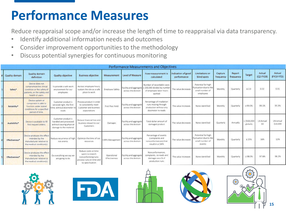# **Performance Measures**

Reduce reappraisal scope and/or increase the length of time to reappraisal via data transparency.

- Identify additional information needs and outcomes
- Consider improvement opportunities to the methodology
- Discuss potential synergies for continuous monitoring

| Performance Measurements and Objectives |                                                                                                                             |                                                                                                    |                                                                                                                |                              |                                               |                                                                                                  |                                   |                                                                              |                      |                     |                          |                     |                              |
|-----------------------------------------|-----------------------------------------------------------------------------------------------------------------------------|----------------------------------------------------------------------------------------------------|----------------------------------------------------------------------------------------------------------------|------------------------------|-----------------------------------------------|--------------------------------------------------------------------------------------------------|-----------------------------------|------------------------------------------------------------------------------|----------------------|---------------------|--------------------------|---------------------|------------------------------|
| Quality domain                          | Quality domain<br>definition                                                                                                | Quality objective                                                                                  | <b>Business objective</b>                                                                                      | Measurement                  | Level of Measure                              | How measurement is<br>calculated                                                                 | Indication of good<br>performance | Limitations or<br>blind spots                                                | Capture<br>frequency | Report<br>frequency | Target                   | Actual<br>(Q2 FY19) | Actual<br>(FY19 YTD)         |
| Safety*                                 | Device does not<br>compromise the clinical<br>condition or the safety of<br>patients, or the safety and<br>health of users. | To provide a safe work<br>environment for our<br>employees                                         | No lost employee hours;<br>sustain the site as a safe<br>place to work                                         | Employee Safety              | Facility and aggregate<br>across the division | Number of recordable cases<br>< 200,000 divided by number<br>of employee labor hours<br>worked   | The value decreases               | Potential for high<br>fluctuation due to the<br>small number of<br>employees | Monthly              | Quarterly           | $\leq 2.0$               | 0.32                | 0.31                         |
| Reliability*                            | Device system or<br>component is able to<br>function under stated<br>conditions for a specified<br>period of time.          | Customer product is<br>serviced right, the first<br>time: without dosimeter r<br>reads             | Process product in order<br>to consistently meet<br>Customer and business<br>expectations                      | First Pass Yield             | Facility and aggregate<br>across the division | Percentage of irradiation<br>runs moving through<br>production without any<br>dosimeter re-reads | The value increases               | None identified                                                              | Monthly              | Quarterly           | 299.0%                   | 99.1%               | 99.3%                        |
| Availability*                           | Device is available to fill<br>first request orders.                                                                        | Customer product is<br>handled and processed<br>without causing physical<br>damage to the material | Reduce financial loss and<br>business impact to our<br>Customers                                               | Damages                      | Facility and aggregati<br>across the division | Total dollar amount of<br>damaged product                                                        | The value decreases               | None identified                                                              | Quarterly            | Annually            | $<$ 5500,000<br>globally | LN Actual<br>SO     | <b>LN Actual</b><br>\$10,000 |
| Effectiveness*                          | Device produces the effect<br>intended by the<br>manufacturer relative to<br>the medical condition(s)                       | Reduce recurrence of high<br>risk events                                                           | Optimize the time of our<br>resources                                                                          | CAPA Managemen               | Facility and aggregate<br>across the division | Percentage of events<br>(complaints and<br>nonconformances) that<br>result in a CAPA             | The value decreases               | Potential for high<br>fluctuation due to the<br>small number of<br>events    | Monthly              | Quarterly           | \$25%                    | 16%                 | 12%                          |
| Effectiveness*                          | Device produces the effect<br>intended by the<br>manufacturer relative to<br>the medical condition(s).                      | Do everything we say we<br>are going to do                                                         | Reduce costs or time<br>spent to rework<br>nonconforming runs:<br>process runs on time and<br>to specification | Operational<br>Effectiveness | Facility and aggregat<br>across the division  | Nonconformances.<br>complaints, re-reads and<br>damages as a % of<br>production runs             | The value increases               | None identified                                                              | Monthly              | Quarterly           | 298.0%                   | 97.6%               | 98.2%                        |